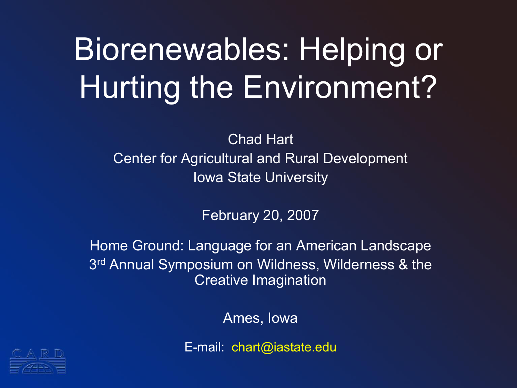# Biorenewables: Helping or Hurting the Environment?

Chad Hart Center for Agricultural and Rural Development Iowa State University

February 20, 2007

Home Ground: Language for an American Landscape 3 rd Annual Symposium on Wildness, Wilderness & the Creative Imagination

Ames, Iowa

E-mail: chart@iastate.edu

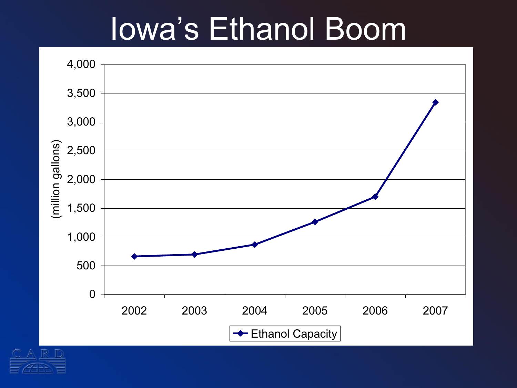### Iowa's Ethanol Boom



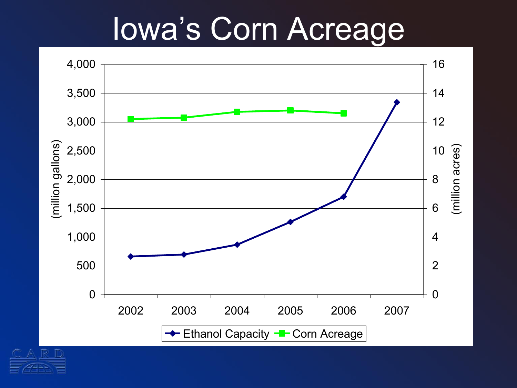## Iowa's Corn Acreage



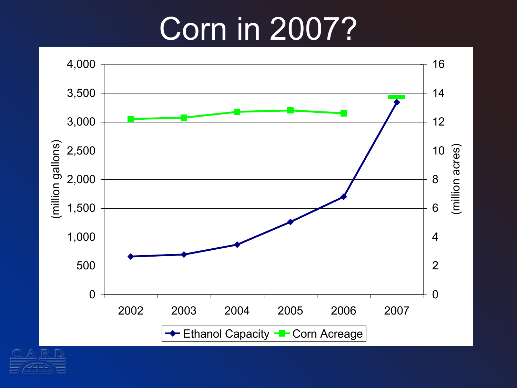## Corn in 2007?

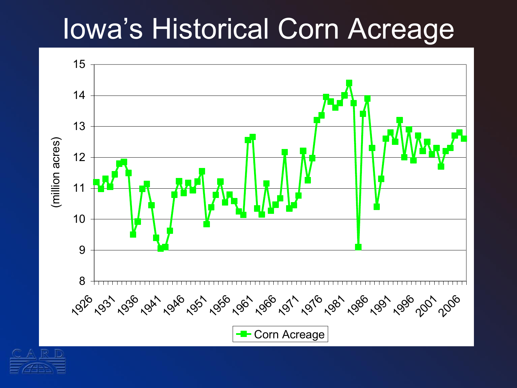#### Iowa's Historical Corn Acreage



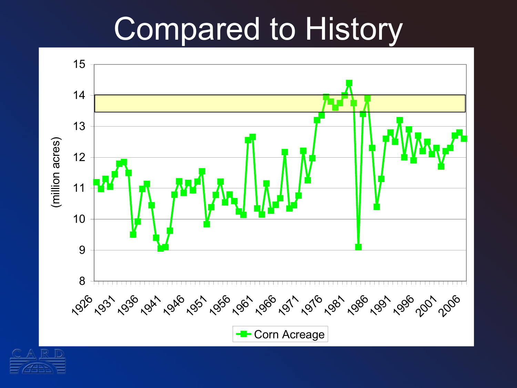### Compared to History



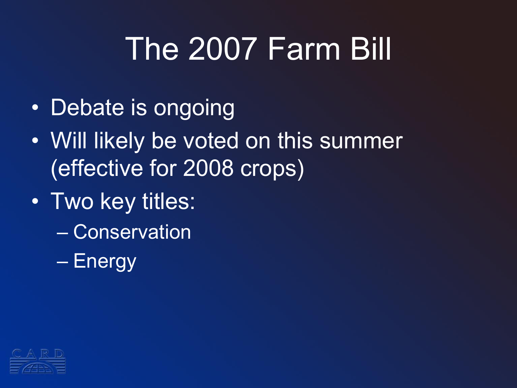# The 2007 Farm Bill

- Debate is ongoing
- Will likely be voted on this summer (effective for 2008 crops)
- Two key titles:
	- Conservation
	- Energy

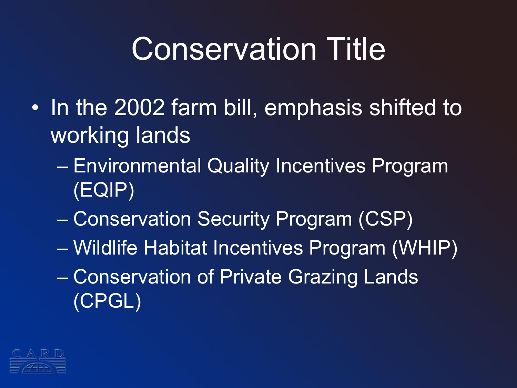## Conservation Title

- In the 2002 farm bill, emphasis shifted to working lands
	- Environmental Quality Incentives Program (EQIP)
	- Conservation Security Program (CSP)
	- Wildlife Habitat Incentives Program (WHIP)
	- Conservation of Private Grazing Lands (CPGL)